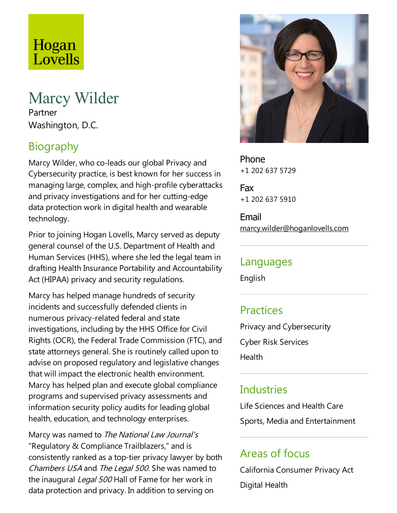# Hogan Lovells

## Marcy Wilder

Partner Washington, D.C.

## Biography

Marcy Wilder, who co-leads our global Privacy and Cybersecurity practice, is best known for her success in managing large, complex, and high-profile cyberattacks and privacy investigations and for her cutting-edge data protection work in digital health and wearable technology.

Prior to joining Hogan Lovells, Marcy served as deputy general counsel of the U.S. Department of Health and Human Services (HHS), where she led the legal team in drafting Health Insurance Portability and Accountability Act (HIPAA) privacy and security regulations.

Marcy has helped manage hundreds of security incidents and successfully defended clients in numerous privacy-related federal and state investigations, including by the HHS Office for Civil Rights (OCR), the Federal Trade Commission (FTC), and state attorneys general. She is routinely called upon to advise on proposed regulatory and legislative changes that will impact the electronic health environment. Marcy has helped plan and execute global compliance programs and supervised privacy assessments and information security policy audits for leading global health, education, and technology enterprises.

Marcy was named to The National Law Journal's "Regulatory & Compliance Trailblazers," and is consistently ranked as atop-tier privacy lawyer by both Chambers USA and The Legal 500. She was named to the inaugural Legal 500 Hall of Fame for her work in data protection and privacy. In addition to serving on



Phone +1 202 637 5729

Fax +1 202 637 5910

Email marcy.wilder@hoganlovells.com

#### Languages

English

## **Practices**

Privacy and Cybersecurity Cyber Risk Services **Health** 

## **Industries**

Life Sciences and Health Care Sports, Media and Entertainment

## Areas of focus

California Consumer Privacy Act Digital Health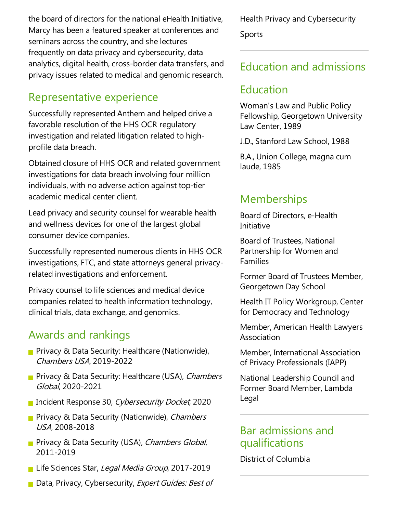the board of directors for the national eHealth Initiative, Marcy has been a featured speaker at conferences and seminars across the country, and she lectures frequently on data privacy and cybersecurity, data analytics, digital health, cross-border data transfers, and privacy issues related to medical and genomicresearch.

## Representative experience

Successfully represented Anthem and helped drivea favorable resolution of the HHS OCR regulatory investigation and related litigation related to highprofile data breach.

Obtained closure of HHS OCR and related government investigations for data breach involving four million individuals, with no adverse action against top-tier academic medical center client.

Lead privacy and security counsel for wearable health and wellness devices for one of the largest global consumer device companies.

Successfully represented numerous clients in HHS OCR investigations, FTC, and state attorneys general privacyrelated investigations and enforcement.

Privacy counsel to life sciences and medical device companies related to health information technology, clinical trials, data exchange, and genomics.

#### Awards and rankings

- **Privacy & Data Security: Healthcare (Nationwide),** Chambers USA, 2019-2022
- **Privacy & Data Security: Healthcare (USA), Chambers** Global, 2020-2021
- **Incident Response 30, Cybersecurity Docket, 2020**
- Privacy & Data Security (Nationwide), Chambers USA, 2008-2018
- **Privacy & Data Security (USA), Chambers Global,** 2011-2019
- Life Sciences Star, Legal Media Group, 2017-2019
- Data, Privacy, Cybersecurity, Expert Guides: Best of

Health Privacy and Cybersecurity Sports

## Education and admissions

## Education

Woman's Law and Public Policy Fellowship, Georgetown University Law Center, 1989

J.D., Stanford Law School, 1988

B.A., Union College, magna cum laude, 1985

## **Memberships**

Board of Directors, e-Health Initiative

Board of Trustees, National Partnership for Women and Families

Former Board of Trustees Member, Georgetown Day School

Health IT Policy Workgroup, Center for Democracy and Technology

Member, American Health Lawyers Association

Member, International Association of Privacy Professionals (IAPP)

National Leadership Council and Former Board Member, Lambda Legal

#### Bar admissions and qualifications

District of Columbia